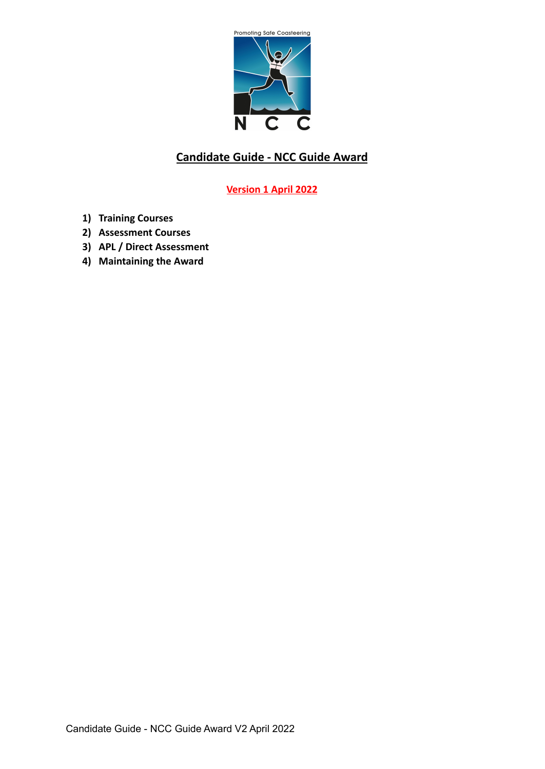

# **Candidate Guide - NCC Guide Award**

## **Version 1 April 2022**

- **1) Training Courses**
- **2) Assessment Courses**
- **3) APL / Direct Assessment**
- **4) Maintaining the Award**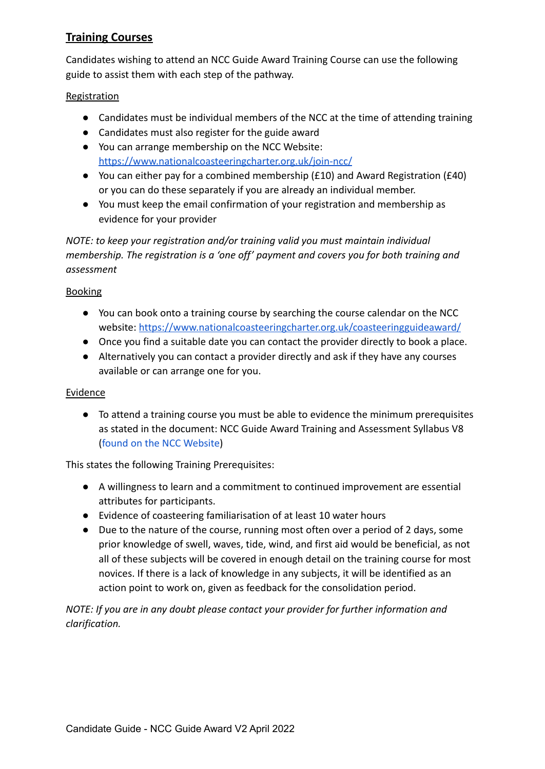## **Training Courses**

Candidates wishing to attend an NCC Guide Award Training Course can use the following guide to assist them with each step of the pathway.

### Registration

- Candidates must be individual members of the NCC at the time of attending training
- Candidates must also register for the guide award
- You can arrange membership on the NCC Website: <https://www.nationalcoasteeringcharter.org.uk/join-ncc/>
- You can either pay for a combined membership (£10) and Award Registration (£40) or you can do these separately if you are already an individual member.
- You must keep the email confirmation of your registration and membership as evidence for your provider

*NOTE: to keep your registration and/or training valid you must maintain individual membership. The registration is a 'one off' payment and covers you for both training and assessment*

### Booking

- You can book onto a training course by searching the course calendar on the NCC website: <https://www.nationalcoasteeringcharter.org.uk/coasteeringguideaward/>
- Once you find a suitable date you can contact the provider directly to book a place.
- Alternatively you can contact a provider directly and ask if they have any courses available or can arrange one for you.

### **Evidence**

● To attend a training course you must be able to evidence the minimum prerequisites as stated in the document: NCC Guide Award Training and Assessment Syllabus V8 ([found on the NCC Website](https://www.nationalcoasteeringcharter.org.uk/coasteeringguideaward/))

This states the following Training Prerequisites:

- **●** A willingness to learn and a commitment to continued improvement are essential attributes for participants.
- **●** Evidence of coasteering familiarisation of at least 10 water hours
- **●** Due to the nature of the course, running most often over a period of 2 days, some prior knowledge of swell, waves, tide, wind, and first aid would be beneficial, as not all of these subjects will be covered in enough detail on the training course for most novices. If there is a lack of knowledge in any subjects, it will be identified as an action point to work on, given as feedback for the consolidation period.

*NOTE: If you are in any doubt please contact your provider for further information and clarification.*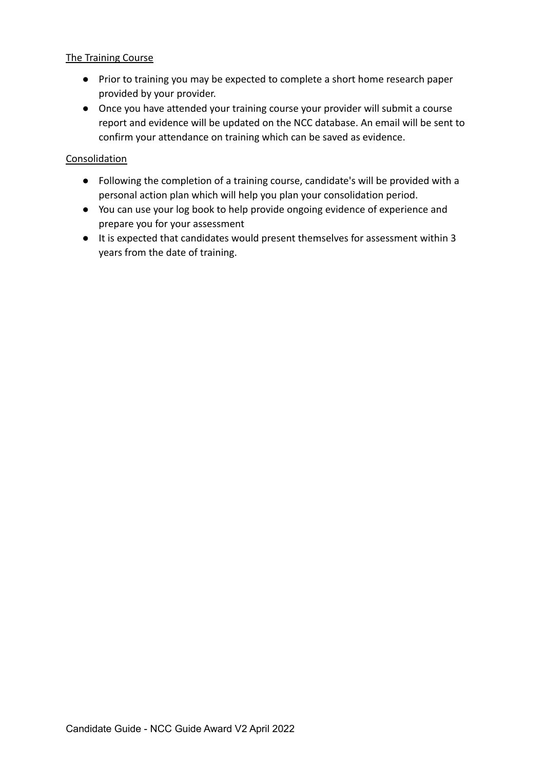#### The Training Course

- Prior to training you may be expected to complete a short home research paper provided by your provider.
- Once you have attended your training course your provider will submit a course report and evidence will be updated on the NCC database. An email will be sent to confirm your attendance on training which can be saved as evidence.

#### Consolidation

- Following the completion of a training course, candidate's will be provided with a personal action plan which will help you plan your consolidation period.
- You can use your log book to help provide ongoing evidence of experience and prepare you for your assessment
- It is expected that candidates would present themselves for assessment within 3 years from the date of training.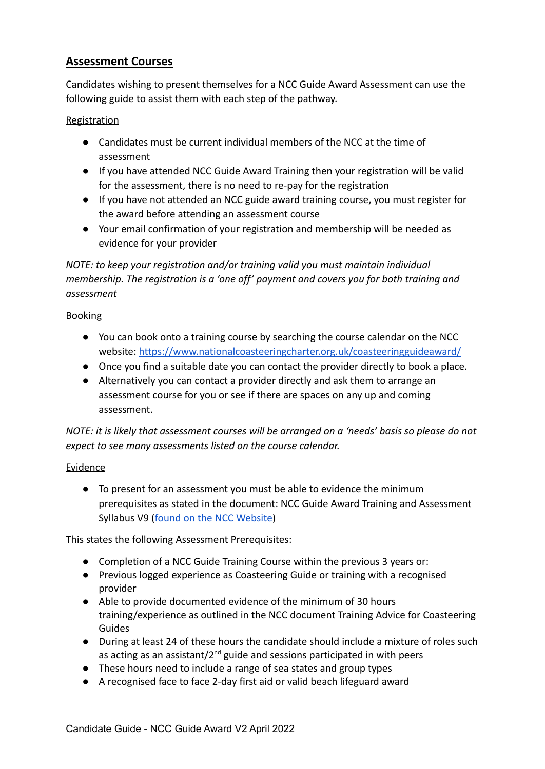## **Assessment Courses**

Candidates wishing to present themselves for a NCC Guide Award Assessment can use the following guide to assist them with each step of the pathway.

### Registration

- Candidates must be current individual members of the NCC at the time of assessment
- If you have attended NCC Guide Award Training then your registration will be valid for the assessment, there is no need to re-pay for the registration
- If you have not attended an NCC guide award training course, you must register for the award before attending an assessment course
- Your email confirmation of your registration and membership will be needed as evidence for your provider

### *NOTE: to keep your registration and/or training valid you must maintain individual membership. The registration is a 'one off' payment and covers you for both training and assessment*

#### Booking

- You can book onto a training course by searching the course calendar on the NCC website: <https://www.nationalcoasteeringcharter.org.uk/coasteeringguideaward/>
- Once you find a suitable date you can contact the provider directly to book a place.
- Alternatively you can contact a provider directly and ask them to arrange an assessment course for you or see if there are spaces on any up and coming assessment.

*NOTE: it is likely that assessment courses will be arranged on a 'needs' basis so please do not expect to see many assessments listed on the course calendar.*

### Evidence

● To present for an assessment you must be able to evidence the minimum prerequisites as stated in the document: NCC Guide Award Training and Assessment Syllabus V9 [\(found on the NCC Website](https://www.nationalcoasteeringcharter.org.uk/coasteeringguideaward/))

This states the following Assessment Prerequisites:

- Completion of a NCC Guide Training Course within the previous 3 years or:
- Previous logged experience as Coasteering Guide or training with a recognised provider
- Able to provide documented evidence of the minimum of 30 hours training/experience as outlined in the NCC document Training Advice for Coasteering Guides
- During at least 24 of these hours the candidate should include a mixture of roles such as acting as an assistant/ $2^{nd}$  guide and sessions participated in with peers
- These hours need to include a range of sea states and group types
- A recognised face to face 2-day first aid or valid beach lifeguard award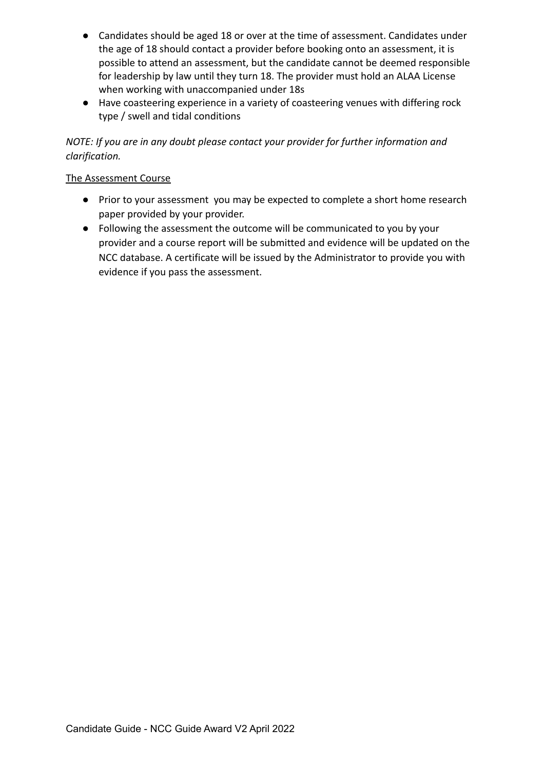- Candidates should be aged 18 or over at the time of assessment. Candidates under the age of 18 should contact a provider before booking onto an assessment, it is possible to attend an assessment, but the candidate cannot be deemed responsible for leadership by law until they turn 18. The provider must hold an ALAA License when working with unaccompanied under 18s
- Have coasteering experience in a variety of coasteering venues with differing rock type / swell and tidal conditions

### *NOTE: If you are in any doubt please contact your provider for further information and clarification.*

### The Assessment Course

- Prior to your assessment you may be expected to complete a short home research paper provided by your provider.
- Following the assessment the outcome will be communicated to you by your provider and a course report will be submitted and evidence will be updated on the NCC database. A certificate will be issued by the Administrator to provide you with evidence if you pass the assessment.